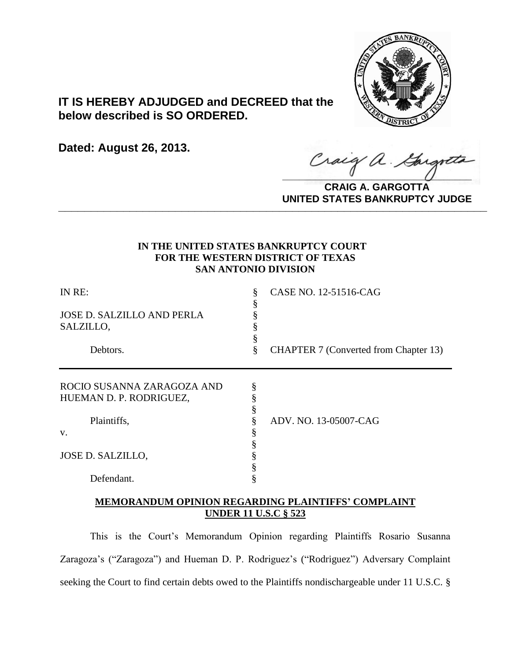

# **IT IS HEREBY ADJUDGED and DECREED that the below described is SO ORDERED.**

**Dated: August 26, 2013.**

Craig a. Gargo

**CRAIG A. GARGOTTA UNITED STATES BANKRUPTCY JUDGE PRITED DIATED BARRACT TOT 00DCE** 

# **IN THE UNITED STATES BANKRUPTCY COURT FOR THE WESTERN DISTRICT OF TEXAS SAN ANTONIO DIVISION**

| IN RE:                            |   | CASE NO. 12-51516-CAG                        |
|-----------------------------------|---|----------------------------------------------|
|                                   |   |                                              |
| <b>JOSE D. SALZILLO AND PERLA</b> |   |                                              |
| SALZILLO,                         |   |                                              |
|                                   |   |                                              |
| Debtors.                          | 8 | <b>CHAPTER 7 (Converted from Chapter 13)</b> |
| ROCIO SUSANNA ZARAGOZA AND        | § |                                              |
| HUEMAN D. P. RODRIGUEZ,           |   |                                              |
|                                   |   |                                              |
| Plaintiffs,                       |   | ADV. NO. 13-05007-CAG                        |
| V.                                |   |                                              |
|                                   |   |                                              |
| JOSE D. SALZILLO,                 |   |                                              |
|                                   |   |                                              |
| Defendant.                        |   |                                              |
|                                   |   |                                              |

# **MEMORANDUM OPINION REGARDING PLAINTIFFS' COMPLAINT UNDER 11 U.S.C § 523**

This is the Court's Memorandum Opinion regarding Plaintiffs Rosario Susanna Zaragoza's ("Zaragoza") and Hueman D. P. Rodriguez's ("Rodriguez") Adversary Complaint seeking the Court to find certain debts owed to the Plaintiffs nondischargeable under 11 U.S.C. §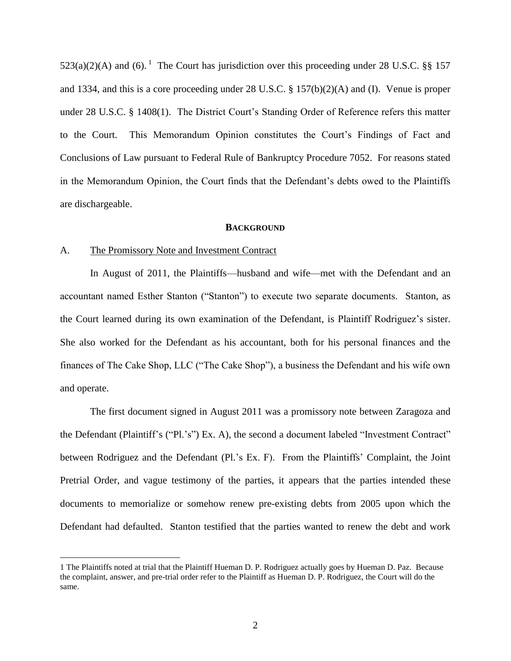$523(a)(2)(A)$  and (6).<sup>1</sup> The Court has jurisdiction over this proceeding under 28 U.S.C. §§ 157 and 1334, and this is a core proceeding under 28 U.S.C. § 157(b)(2)(A) and (I). Venue is proper under 28 U.S.C. § 1408(1). The District Court's Standing Order of Reference refers this matter to the Court. This Memorandum Opinion constitutes the Court's Findings of Fact and Conclusions of Law pursuant to Federal Rule of Bankruptcy Procedure 7052. For reasons stated in the Memorandum Opinion, the Court finds that the Defendant's debts owed to the Plaintiffs are dischargeable.

#### **BACKGROUND**

### A. The Promissory Note and Investment Contract

 $\overline{a}$ 

In August of 2011, the Plaintiffs—husband and wife—met with the Defendant and an accountant named Esther Stanton ("Stanton") to execute two separate documents. Stanton, as the Court learned during its own examination of the Defendant, is Plaintiff Rodriguez's sister. She also worked for the Defendant as his accountant, both for his personal finances and the finances of The Cake Shop, LLC ("The Cake Shop"), a business the Defendant and his wife own and operate.

The first document signed in August 2011 was a promissory note between Zaragoza and the Defendant (Plaintiff's ("Pl.'s") Ex. A), the second a document labeled "Investment Contract" between Rodriguez and the Defendant (Pl.'s Ex. F). From the Plaintiffs' Complaint, the Joint Pretrial Order, and vague testimony of the parties, it appears that the parties intended these documents to memorialize or somehow renew pre-existing debts from 2005 upon which the Defendant had defaulted. Stanton testified that the parties wanted to renew the debt and work

<sup>1</sup> The Plaintiffs noted at trial that the Plaintiff Hueman D. P. Rodriguez actually goes by Hueman D. Paz. Because the complaint, answer, and pre-trial order refer to the Plaintiff as Hueman D. P. Rodriguez, the Court will do the same.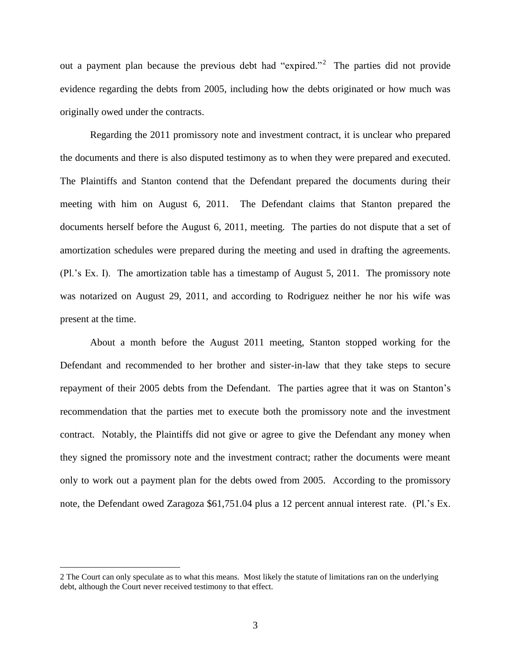out a payment plan because the previous debt had "expired."<sup>2</sup> The parties did not provide evidence regarding the debts from 2005, including how the debts originated or how much was originally owed under the contracts.

Regarding the 2011 promissory note and investment contract, it is unclear who prepared the documents and there is also disputed testimony as to when they were prepared and executed. The Plaintiffs and Stanton contend that the Defendant prepared the documents during their meeting with him on August 6, 2011. The Defendant claims that Stanton prepared the documents herself before the August 6, 2011, meeting. The parties do not dispute that a set of amortization schedules were prepared during the meeting and used in drafting the agreements. (Pl.'s Ex. I). The amortization table has a timestamp of August 5, 2011. The promissory note was notarized on August 29, 2011, and according to Rodriguez neither he nor his wife was present at the time.

About a month before the August 2011 meeting, Stanton stopped working for the Defendant and recommended to her brother and sister-in-law that they take steps to secure repayment of their 2005 debts from the Defendant. The parties agree that it was on Stanton's recommendation that the parties met to execute both the promissory note and the investment contract. Notably, the Plaintiffs did not give or agree to give the Defendant any money when they signed the promissory note and the investment contract; rather the documents were meant only to work out a payment plan for the debts owed from 2005. According to the promissory note, the Defendant owed Zaragoza \$61,751.04 plus a 12 percent annual interest rate. (Pl.'s Ex.

<sup>2</sup> The Court can only speculate as to what this means. Most likely the statute of limitations ran on the underlying debt, although the Court never received testimony to that effect.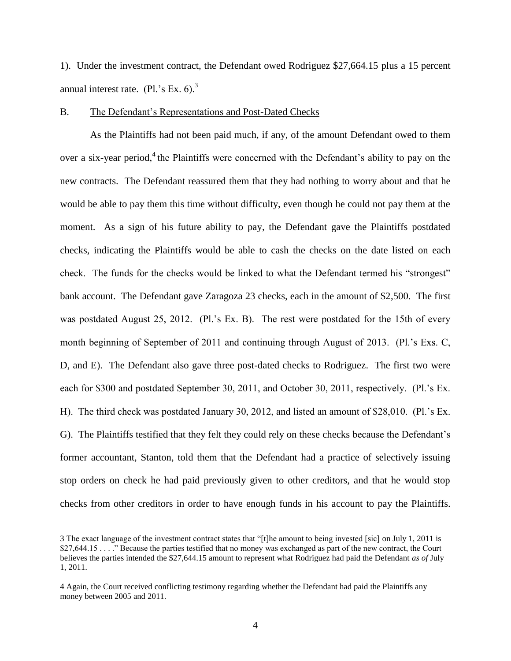1). Under the investment contract, the Defendant owed Rodriguez \$27,664.15 plus a 15 percent annual interest rate.  $(Pl.^{s}$  Ex. 6).<sup>3</sup>

## B. The Defendant's Representations and Post-Dated Checks

As the Plaintiffs had not been paid much, if any, of the amount Defendant owed to them over a six-year period,<sup>4</sup> the Plaintiffs were concerned with the Defendant's ability to pay on the new contracts. The Defendant reassured them that they had nothing to worry about and that he would be able to pay them this time without difficulty, even though he could not pay them at the moment. As a sign of his future ability to pay, the Defendant gave the Plaintiffs postdated checks, indicating the Plaintiffs would be able to cash the checks on the date listed on each check. The funds for the checks would be linked to what the Defendant termed his "strongest" bank account. The Defendant gave Zaragoza 23 checks, each in the amount of \$2,500. The first was postdated August 25, 2012. (Pl.'s Ex. B). The rest were postdated for the 15th of every month beginning of September of 2011 and continuing through August of 2013. (Pl.'s Exs. C, D, and E). The Defendant also gave three post-dated checks to Rodriguez. The first two were each for \$300 and postdated September 30, 2011, and October 30, 2011, respectively. (Pl.'s Ex. H). The third check was postdated January 30, 2012, and listed an amount of \$28,010. (Pl.'s Ex. G). The Plaintiffs testified that they felt they could rely on these checks because the Defendant's former accountant, Stanton, told them that the Defendant had a practice of selectively issuing stop orders on check he had paid previously given to other creditors, and that he would stop checks from other creditors in order to have enough funds in his account to pay the Plaintiffs.

<sup>3</sup> The exact language of the investment contract states that "[t]he amount to being invested [sic] on July 1, 2011 is \$27,644.15 . . . . " Because the parties testified that no money was exchanged as part of the new contract, the Court believes the parties intended the \$27,644.15 amount to represent what Rodriguez had paid the Defendant *as of* July 1, 2011.

<sup>4</sup> Again, the Court received conflicting testimony regarding whether the Defendant had paid the Plaintiffs any money between 2005 and 2011.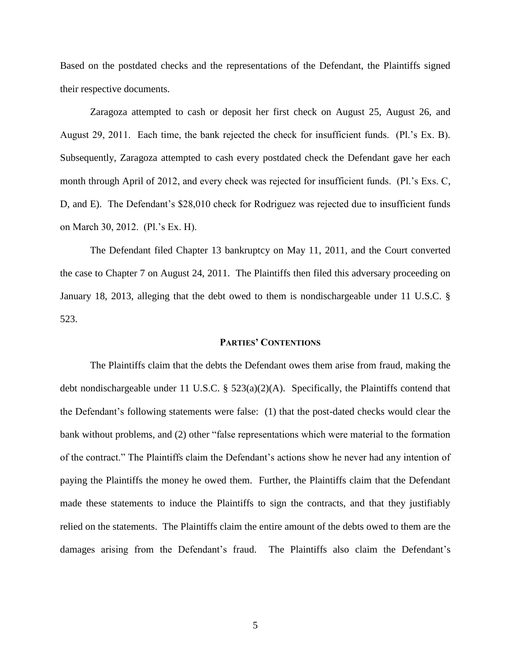Based on the postdated checks and the representations of the Defendant, the Plaintiffs signed their respective documents.

Zaragoza attempted to cash or deposit her first check on August 25, August 26, and August 29, 2011. Each time, the bank rejected the check for insufficient funds. (Pl.'s Ex. B). Subsequently, Zaragoza attempted to cash every postdated check the Defendant gave her each month through April of 2012, and every check was rejected for insufficient funds. (Pl.'s Exs. C, D, and E). The Defendant's \$28,010 check for Rodriguez was rejected due to insufficient funds on March 30, 2012. (Pl.'s Ex. H).

The Defendant filed Chapter 13 bankruptcy on May 11, 2011, and the Court converted the case to Chapter 7 on August 24, 2011. The Plaintiffs then filed this adversary proceeding on January 18, 2013, alleging that the debt owed to them is nondischargeable under 11 U.S.C. § 523.

#### **PARTIES' CONTENTIONS**

The Plaintiffs claim that the debts the Defendant owes them arise from fraud, making the debt nondischargeable under 11 U.S.C. § 523(a)(2)(A). Specifically, the Plaintiffs contend that the Defendant's following statements were false: (1) that the post-dated checks would clear the bank without problems, and (2) other "false representations which were material to the formation of the contract." The Plaintiffs claim the Defendant's actions show he never had any intention of paying the Plaintiffs the money he owed them. Further, the Plaintiffs claim that the Defendant made these statements to induce the Plaintiffs to sign the contracts, and that they justifiably relied on the statements. The Plaintiffs claim the entire amount of the debts owed to them are the damages arising from the Defendant's fraud. The Plaintiffs also claim the Defendant's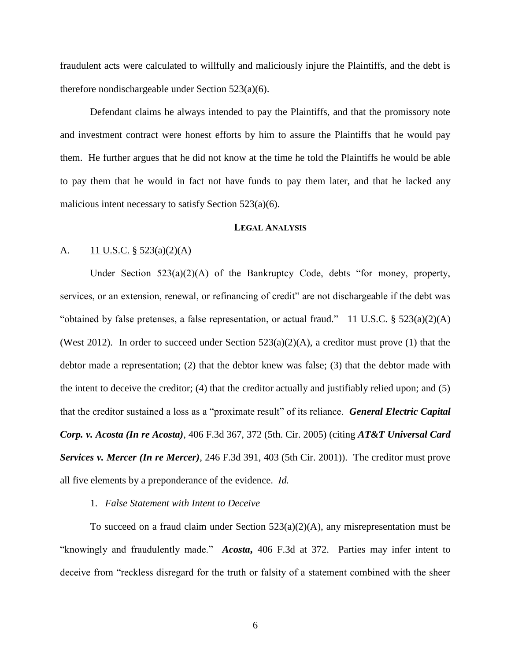fraudulent acts were calculated to willfully and maliciously injure the Plaintiffs, and the debt is therefore nondischargeable under Section 523(a)(6).

Defendant claims he always intended to pay the Plaintiffs, and that the promissory note and investment contract were honest efforts by him to assure the Plaintiffs that he would pay them. He further argues that he did not know at the time he told the Plaintiffs he would be able to pay them that he would in fact not have funds to pay them later, and that he lacked any malicious intent necessary to satisfy Section 523(a)(6).

### **LEGAL ANALYSIS**

## A.  $11 \text{ U.S.C. }$  § 523(a)(2)(A)

Under Section 523(a)(2)(A) of the Bankruptcy Code, debts "for money, property, services, or an extension, renewal, or refinancing of credit" are not dischargeable if the debt was "obtained by false pretenses, a false representation, or actual fraud." 11 U.S.C. § 523(a)(2)(A) (West 2012). In order to succeed under Section  $523(a)(2)(A)$ , a creditor must prove (1) that the debtor made a representation; (2) that the debtor knew was false; (3) that the debtor made with the intent to deceive the creditor; (4) that the creditor actually and justifiably relied upon; and (5) that the creditor sustained a loss as a "proximate result" of its reliance. *General Electric Capital Corp. v. Acosta (In re Acosta)*, 406 F.3d 367, 372 (5th. Cir. 2005) (citing *AT&T Universal Card Services v. Mercer (In re Mercer)*, 246 F.3d 391, 403 (5th Cir. 2001)). The creditor must prove all five elements by a preponderance of the evidence. *Id.*

## 1. *False Statement with Intent to Deceive*

To succeed on a fraud claim under Section  $523(a)(2)(A)$ , any misrepresentation must be "knowingly and fraudulently made." *Acosta***,** 406 F.3d at 372. Parties may infer intent to deceive from "reckless disregard for the truth or falsity of a statement combined with the sheer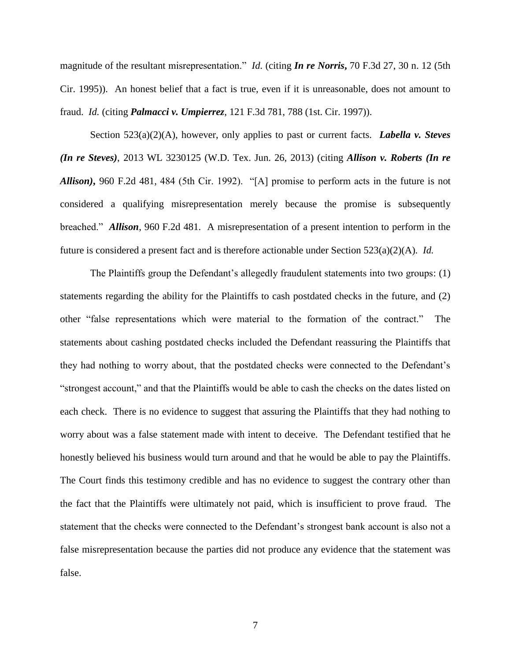magnitude of the resultant misrepresentation." *Id.* (citing *In re Norris***,** 70 F.3d 27, 30 n. 12 (5th Cir. 1995)). An honest belief that a fact is true, even if it is unreasonable, does not amount to fraud. *Id.* (citing *Palmacci v. Umpierrez*, 121 F.3d 781, 788 (1st. Cir. 1997)).

Section 523(a)(2)(A), however, only applies to past or current facts. *Labella v. Steves (In re Steves)*, 2013 WL 3230125 (W.D. Tex. Jun. 26, 2013) (citing *Allison v. Roberts (In re Allison)***,** 960 F.2d 481, 484 (5th Cir. 1992). "[A] promise to perform acts in the future is not considered a qualifying misrepresentation merely because the promise is subsequently breached." *Allison*, 960 F.2d 481. A misrepresentation of a present intention to perform in the future is considered a present fact and is therefore actionable under Section 523(a)(2)(A). *Id.*

The Plaintiffs group the Defendant's allegedly fraudulent statements into two groups: (1) statements regarding the ability for the Plaintiffs to cash postdated checks in the future, and (2) other "false representations which were material to the formation of the contract." The statements about cashing postdated checks included the Defendant reassuring the Plaintiffs that they had nothing to worry about, that the postdated checks were connected to the Defendant's "strongest account," and that the Plaintiffs would be able to cash the checks on the dates listed on each check. There is no evidence to suggest that assuring the Plaintiffs that they had nothing to worry about was a false statement made with intent to deceive. The Defendant testified that he honestly believed his business would turn around and that he would be able to pay the Plaintiffs. The Court finds this testimony credible and has no evidence to suggest the contrary other than the fact that the Plaintiffs were ultimately not paid, which is insufficient to prove fraud. The statement that the checks were connected to the Defendant's strongest bank account is also not a false misrepresentation because the parties did not produce any evidence that the statement was false.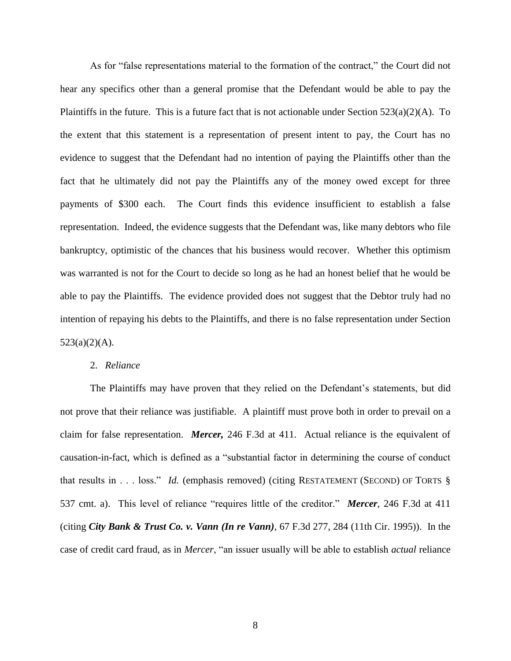As for "false representations material to the formation of the contract," the Court did not hear any specifics other than a general promise that the Defendant would be able to pay the Plaintiffs in the future. This is a future fact that is not actionable under Section  $523(a)(2)(A)$ . To the extent that this statement is a representation of present intent to pay, the Court has no evidence to suggest that the Defendant had no intention of paying the Plaintiffs other than the fact that he ultimately did not pay the Plaintiffs any of the money owed except for three payments of \$300 each. The Court finds this evidence insufficient to establish a false representation. Indeed, the evidence suggests that the Defendant was, like many debtors who file bankruptcy, optimistic of the chances that his business would recover. Whether this optimism was warranted is not for the Court to decide so long as he had an honest belief that he would be able to pay the Plaintiffs. The evidence provided does not suggest that the Debtor truly had no intention of repaying his debts to the Plaintiffs, and there is no false representation under Section  $523(a)(2)(A)$ .

## 2. *Reliance*

The Plaintiffs may have proven that they relied on the Defendant's statements, but did not prove that their reliance was justifiable. A plaintiff must prove both in order to prevail on a claim for false representation. *Mercer,* 246 F.3d at 411. Actual reliance is the equivalent of causation-in-fact, which is defined as a "substantial factor in determining the course of conduct that results in . . . loss." *Id.* (emphasis removed) (citing RESTATEMENT (SECOND) OF TORTS § 537 cmt. a). This level of reliance "requires little of the creditor." *Mercer*, 246 F.3d at 411 (citing *City Bank & Trust Co. v. Vann (In re Vann)*, 67 F.3d 277, 284 (11th Cir. 1995)). In the case of credit card fraud, as in *Mercer*, "an issuer usually will be able to establish *actual* reliance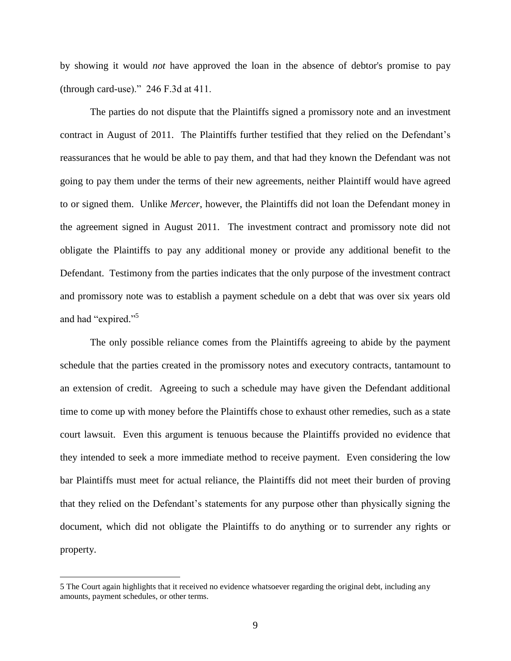by showing it would *not* have approved the loan in the absence of debtor's promise to pay (through card-use)." 246 F.3d at 411.

The parties do not dispute that the Plaintiffs signed a promissory note and an investment contract in August of 2011. The Plaintiffs further testified that they relied on the Defendant's reassurances that he would be able to pay them, and that had they known the Defendant was not going to pay them under the terms of their new agreements, neither Plaintiff would have agreed to or signed them. Unlike *Mercer*, however, the Plaintiffs did not loan the Defendant money in the agreement signed in August 2011. The investment contract and promissory note did not obligate the Plaintiffs to pay any additional money or provide any additional benefit to the Defendant. Testimony from the parties indicates that the only purpose of the investment contract and promissory note was to establish a payment schedule on a debt that was over six years old and had "expired." 5

The only possible reliance comes from the Plaintiffs agreeing to abide by the payment schedule that the parties created in the promissory notes and executory contracts, tantamount to an extension of credit. Agreeing to such a schedule may have given the Defendant additional time to come up with money before the Plaintiffs chose to exhaust other remedies, such as a state court lawsuit. Even this argument is tenuous because the Plaintiffs provided no evidence that they intended to seek a more immediate method to receive payment. Even considering the low bar Plaintiffs must meet for actual reliance, the Plaintiffs did not meet their burden of proving that they relied on the Defendant's statements for any purpose other than physically signing the document, which did not obligate the Plaintiffs to do anything or to surrender any rights or property.

<sup>5</sup> The Court again highlights that it received no evidence whatsoever regarding the original debt, including any amounts, payment schedules, or other terms.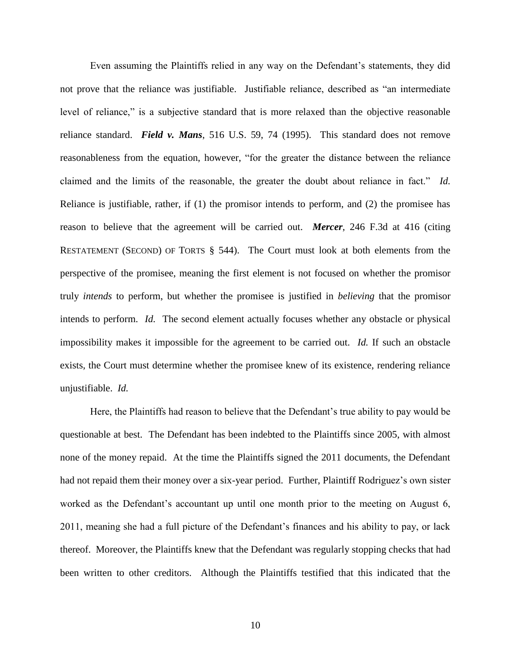Even assuming the Plaintiffs relied in any way on the Defendant's statements, they did not prove that the reliance was justifiable. Justifiable reliance, described as "an intermediate level of reliance," is a subjective standard that is more relaxed than the objective reasonable reliance standard. *Field v. Mans*, 516 U.S. 59, 74 (1995). This standard does not remove reasonableness from the equation, however, "for the greater the distance between the reliance claimed and the limits of the reasonable, the greater the doubt about reliance in fact." *Id.*  Reliance is justifiable, rather, if (1) the promisor intends to perform, and (2) the promisee has reason to believe that the agreement will be carried out. *Mercer*, 246 F.3d at 416 (citing RESTATEMENT (SECOND) OF TORTS § 544). The Court must look at both elements from the perspective of the promisee, meaning the first element is not focused on whether the promisor truly *intends* to perform, but whether the promisee is justified in *believing* that the promisor intends to perform. *Id.* The second element actually focuses whether any obstacle or physical impossibility makes it impossible for the agreement to be carried out. *Id.* If such an obstacle exists, the Court must determine whether the promisee knew of its existence, rendering reliance unjustifiable. *Id.*

Here, the Plaintiffs had reason to believe that the Defendant's true ability to pay would be questionable at best. The Defendant has been indebted to the Plaintiffs since 2005, with almost none of the money repaid. At the time the Plaintiffs signed the 2011 documents, the Defendant had not repaid them their money over a six-year period. Further, Plaintiff Rodriguez's own sister worked as the Defendant's accountant up until one month prior to the meeting on August 6, 2011, meaning she had a full picture of the Defendant's finances and his ability to pay, or lack thereof. Moreover, the Plaintiffs knew that the Defendant was regularly stopping checks that had been written to other creditors. Although the Plaintiffs testified that this indicated that the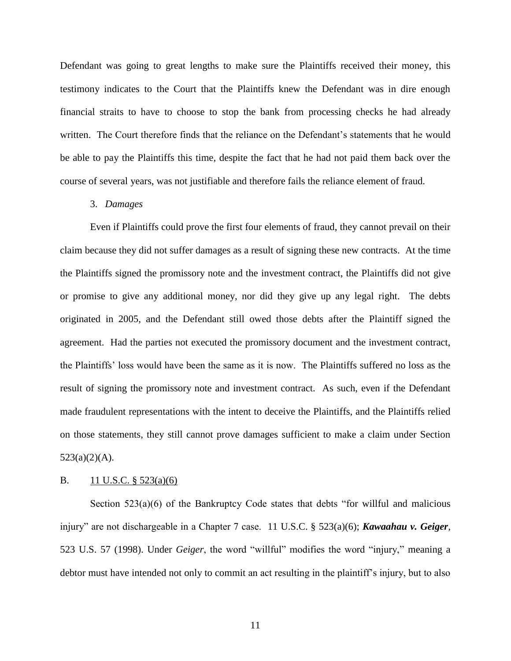Defendant was going to great lengths to make sure the Plaintiffs received their money, this testimony indicates to the Court that the Plaintiffs knew the Defendant was in dire enough financial straits to have to choose to stop the bank from processing checks he had already written. The Court therefore finds that the reliance on the Defendant's statements that he would be able to pay the Plaintiffs this time, despite the fact that he had not paid them back over the course of several years, was not justifiable and therefore fails the reliance element of fraud.

### 3. *Damages*

Even if Plaintiffs could prove the first four elements of fraud, they cannot prevail on their claim because they did not suffer damages as a result of signing these new contracts. At the time the Plaintiffs signed the promissory note and the investment contract, the Plaintiffs did not give or promise to give any additional money, nor did they give up any legal right. The debts originated in 2005, and the Defendant still owed those debts after the Plaintiff signed the agreement. Had the parties not executed the promissory document and the investment contract, the Plaintiffs' loss would have been the same as it is now. The Plaintiffs suffered no loss as the result of signing the promissory note and investment contract. As such, even if the Defendant made fraudulent representations with the intent to deceive the Plaintiffs, and the Plaintiffs relied on those statements, they still cannot prove damages sufficient to make a claim under Section  $523(a)(2)(A)$ .

#### B.  $11 \text{ U.S.C. }$  § 523(a)(6)

Section  $523(a)(6)$  of the Bankruptcy Code states that debts "for willful and malicious injury" are not dischargeable in a Chapter 7 case. 11 U.S.C. § 523(a)(6); *Kawaahau v. Geiger,*  523 U.S. 57 (1998). Under *Geiger*, the word "willful" modifies the word "injury," meaning a debtor must have intended not only to commit an act resulting in the plaintiff's injury, but to also

11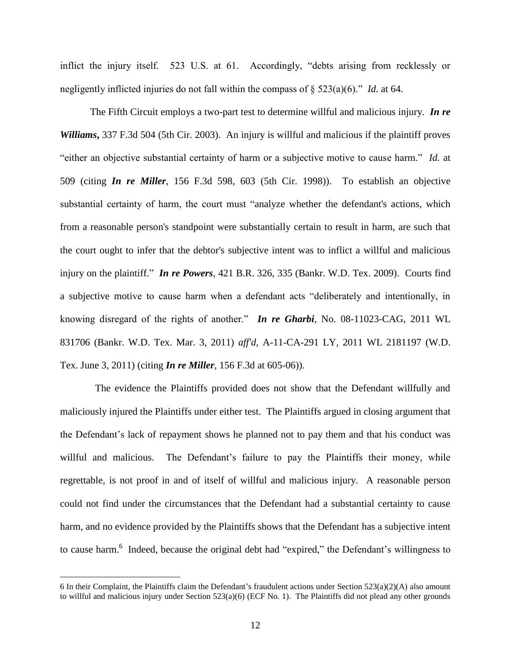inflict the injury itself. 523 U.S. at 61. Accordingly, "debts arising from recklessly or negligently inflicted injuries do not fall within the compass of § 523(a)(6)." *Id.* at 64.

The Fifth Circuit employs a two-part test to determine willful and malicious injury. *In re Williams***,** 337 F.3d 504 (5th Cir. 2003). An injury is willful and malicious if the plaintiff proves "either an objective substantial certainty of harm or a subjective motive to cause harm." *Id.* at 509 (citing *In re Miller*, 156 F.3d 598, 603 (5th Cir. 1998)). To establish an objective substantial certainty of harm, the court must "analyze whether the defendant's actions, which from a reasonable person's standpoint were substantially certain to result in harm, are such that the court ought to infer that the debtor's subjective intent was to inflict a willful and malicious injury on the plaintiff." *In re Powers*, 421 B.R. 326, 335 (Bankr. W.D. Tex. 2009). Courts find a subjective motive to cause harm when a defendant acts "deliberately and intentionally, in knowing disregard of the rights of another." *In re Gharbi*, No. 08-11023-CAG, 2011 WL 831706 (Bankr. W.D. Tex. Mar. 3, 2011) *aff'd*, A-11-CA-291 LY, 2011 WL 2181197 (W.D. Tex. June 3, 2011) (citing *In re Miller*, 156 F.3d at 605-06)).

 The evidence the Plaintiffs provided does not show that the Defendant willfully and maliciously injured the Plaintiffs under either test. The Plaintiffs argued in closing argument that the Defendant's lack of repayment shows he planned not to pay them and that his conduct was willful and malicious. The Defendant's failure to pay the Plaintiffs their money, while regrettable, is not proof in and of itself of willful and malicious injury. A reasonable person could not find under the circumstances that the Defendant had a substantial certainty to cause harm, and no evidence provided by the Plaintiffs shows that the Defendant has a subjective intent to cause harm.<sup>6</sup> Indeed, because the original debt had "expired," the Defendant's willingness to

<sup>6</sup> In their Complaint, the Plaintiffs claim the Defendant's fraudulent actions under Section 523(a)(2)(A) also amount to willful and malicious injury under Section 523(a)(6) (ECF No. 1). The Plaintiffs did not plead any other grounds